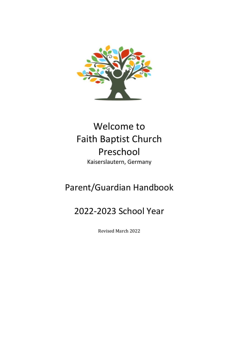

# Welcome to Faith Baptist Church Preschool Kaiserslautern, Germany

# Parent/Guardian Handbook

# 2022-2023 School Year

Revised March 2022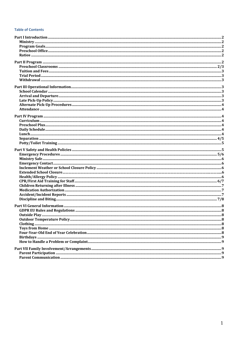#### **Table of Contents**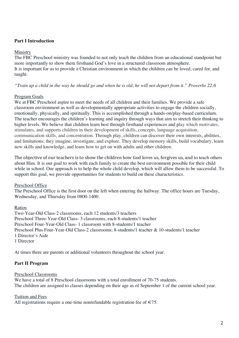# **Part I Introduction**

### Ministry

The FBC Preschool ministry was founded to not only teach the children from an educational standpoint but more importantly to show them firsthand God's love in a structured classroom atmosphere. It is important for us to provide a Christian environment in which the children can be loved, cared for, and taught.

# *"Train up a child in the way he should go and when he is old, he will not depart from it." Proverbs 22:6*

# Program Goals

We at FBC Preschool aspire to meet the needs of all children and their families. We provide a safe classroom environment as well as developmentally appropriate activities to engage the children socially, emotionally, physically, and spiritually. This is accomplished through a hands-on/play-based curriculum. The teacher encourages the children's learning and inquiry through ways that aim to stretch their thinking to higher levels. We believe that children learn best through firsthand experiences and play which motivates, stimulates, and supports children in their development of skills, concepts, language acquisition, communication skills, and concentration. Through play, children can discover their own interests, abilities, and limitations; they imagine, investigate, and explore. They develop memory skills, build vocabulary, learn new skills and knowledge, and learn how to get on with adults and other children.

The objective of our teachers is to show the children how God loves us, forgives us, and to teach others about Him. It is our goal to work with each family to create the best environment possible for their child while in school. Our approach is to help the whole child develop, which will allow them to be successful. To support this goal, we provide opportunities for students to build on these characteristics.

#### Preschool Office

The Preschool Office is the first door on the left when entering the hallway. The office hours are Tuesday, Wednesday, and Thursday from 0800-1400.

#### Ratios

Two-Year-Old Class-2 classrooms, each 12 students/3 teachers Preschool Three-Year-Old Class- 3 classrooms, each 8-students/1 teacher Preschool Four-Year-Old Class- 1 classroom with 8-students/1 teacher Preschool Plus Four-Year-Old Class-2 classrooms; 8-students/1 teacher & 10-students/1 teacher 1 Director's Aide 1 Director

At times there are parents or additional volunteers throughout the school year.

# **Part II Program**

#### Preschool Classrooms

We have a total of 8 Preschool classrooms with a total enrollment of 70-75 students. The children are assigned to classes depending on their age as of September 1 of the current school year.

#### Tuition and Fees

All registrations require a one-time nonrefundable registration fee of  $\in 75$ .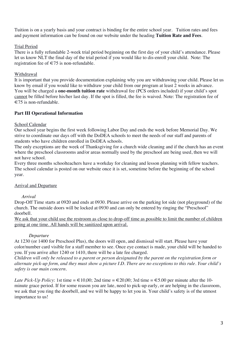Tuition is on a yearly basis and your contract is binding for the entire school year. Tuition rates and fees and payment information can be found on our website under the heading **Tuition Rate and Fees**.

# Trial Period

There is a fully refundable 2-week trial period beginning on the first day of your child's attendance. Please let us know NLT the final day of the trial period if you would like to dis-enroll your child. Note: The registration fee of  $\in 75$  is non-refundable.

# Withdrawal

It is important that you provide documentation explaining why you are withdrawing your child. Please let us know by email if you would like to withdraw your child from our program at least 2 weeks in advance. You will be charged a **one-month tuition rate** withdrawal fee (PCS orders included) if your child's spot cannot be filled before his/her last day. If the spot is filled, the fee is waived. Note: The registration fee of  $\epsilon$ 75 is non-refundable.

# **Part III Operational Information**

# School Calendar

Our school year begins the first week following Labor Day and ends the week before Memorial Day. We strive to coordinate our days off with the DoDEA schools to meet the needs of our staff and parents of students who have children enrolled in DoDEA schools.

The only exceptions are the week of Thanksgiving for a church wide cleaning and if the church has an event where the preschool classrooms and/or areas normally used by the preschool are being used, then we will not have school.

Every three months schoolteachers have a workday for cleaning and lesson planning with fellow teachers. The school calendar is posted on our website once it is set, sometime before the beginning of the school year.

# Arrival and Departure

# *Arrival*

Drop-Off Time starts at 0920 and ends at 0930. Please arrive on the parking lot side (not playground) of the church. The outside doors will be locked at 0930 and can only be entered by ringing the "Preschool" doorbell.

We ask that your child use the restroom as close to drop-off time as possible to limit the number of children going at one time. All hands will be sanitized upon arrival.

# *Departure*

At 1230 (or 1400 for Preschool Plus), the doors will open, and dismissal will start. Please have your color/number card visible for a staff member to see. Once eye contact is made, your child will be handed to you. If you arrive after 1240 or 1410, there will be a late fee charged.

*Children will only be released to a parent or person designated by the parent on the registration form or alternate pick-up form, and they must show a picture I.D. There are no exceptions to this rule. Your child's safety is our main concern.*

*Late Pick-Up Policy*: 1st time =  $\in$  10,00; 2nd time =  $\in$  20,00; 3rd time =  $\in$  5.00 per minute after the 10minute grace period. If for some reason you are late, need to pick-up early, or are helping in the classroom, we ask that you ring the doorbell, and we will be happy to let you in. Your child's safety is of the utmost importance to us!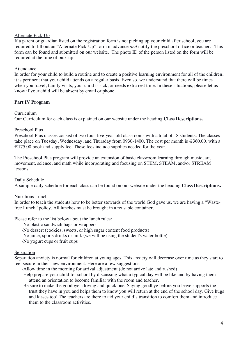# Alternate Pick-Up

If a parent or guardian listed on the registration form is not picking up your child after school, you are required to fill out an "Alternate Pick-Up" form in advance *and* notify the preschool office or teacher. This form can be found and submitted on our website. The photo ID of the person listed on the form will be required at the time of pick-up.

#### Attendance

In order for your child to build a routine and to create a positive learning environment for all of the children, it is pertinent that your child attends on a regular basis. Even so, we understand that there will be times when you travel, family visits, your child is sick, or needs extra rest time. In these situations, please let us know if your child will be absent by email or phone.

# **Part IV Program**

#### Curriculum

Our Curriculum for each class is explained on our website under the heading **Class Descriptions.**

#### Preschool Plus

Preschool Plus classes consist of two four-five-year-old classrooms with a total of 18 students. The classes take place on Tuesday, Wednesday, and Thursday from 0930-1400. The cost per month is  $\in 360,00$ , with a  $\epsilon$  175,00 book and supply fee. These fees include supplies needed for the year.

The Preschool Plus program will provide an extension of basic classroom learning through music, art, movement, science, and math while incorporating and focusing on STEM, STEAM, and/or STREAM lessons.

#### Daily Schedule

A sample daily schedule for each class can be found on our website under the heading **Class Descriptions.**

#### Nutritious Lunch

In order to teach the students how to be better stewards of the world God gave us, we are having a "Wastefree Lunch" policy. All lunches must be brought in a reusable container.

Please refer to the list below about the lunch rules:

-No plastic sandwich bags or wrappers

-No dessert (cookies, sweets, or high sugar content food products)

-No juice, sports drinks or milk (we will be using the student's water bottle)

-No yogurt cups or fruit cups

#### Separation

Separation anxiety is normal for children at young ages. This anxiety will decrease over time as they start to feel secure in their new environment. Here are a few suggestions:

-Allow time in the morning for arrival adjustment (do not arrive late and rushed)

- -Help prepare your child for school by discussing what a typical day will be like and by having them attend an orientation to become familiar with the room and teacher.
- -Be sure to make the goodbye a loving and quick one. Saying goodbye before you leave supports the trust they have in you and helps them to know you will return at the end of the school day. Give hugs and kisses too! The teachers are there to aid your child's transition to comfort them and introduce them to the classroom activities.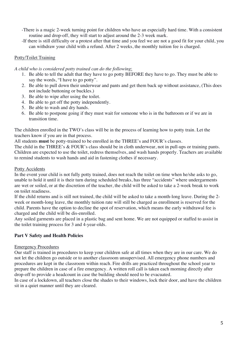- -There is a magic 2-week turning point for children who have an especially hard time. With a consistent routine and drop-off, they will start to adjust around the 2-3 week mark.
- -If there is still difficulty or a protest after that time and you feel we are not a good fit for your child, you can withdraw your child with a refund. After 2 weeks, the monthly tuition fee is charged.

# Potty/Toilet Training

*A child who is considered potty trained can do the following*:

- 1. Be able to tell the adult that they have to go potty BEFORE they have to go. They must be able to say the words, "I have to go potty".
- 2. Be able to pull down their underwear and pants and get them back up without assistance, (This does not include buttoning or buckles.)
- 3. Be able to wipe after using the toilet.
- 4. Be able to get off the potty independently.
- 5. Be able to wash and dry hands.
- 6. Be able to postpone going if they must wait for someone who is in the bathroom or if we are in transition time.

The children enrolled in the TWO's class will be in the process of learning how to potty train. Let the teachers know if you are in that process.

All students **must** be potty-trained to be enrolled in the THREE's and FOUR's classes.

The child in the THREE's & FOUR's class should be in cloth underwear, not in pull-ups or training pants. Children are expected to use the toilet, redress themselves, and wash hands properly. Teachers are available to remind students to wash hands and aid in fastening clothes if necessary.

#### Potty Accidents

In the event your child is not fully potty trained, does not reach the toilet on time when he/she asks to go, unable to hold it until it is their turn during scheduled breaks, has three "accidents" where undergarments are wet or soiled, or at the discretion of the teacher, the child will be asked to take a 2-week break to work on toilet readiness.

If the child returns and is still not trained, the child will be asked to take a month-long leave. During the 2 week or month-long leave, the monthly tuition rate will still be charged as enrollment is reserved for the child. Parents have the option to decline the spot of reservation, which means the early withdrawal fee is charged and the child will be dis-enrolled.

Any soiled garments are placed in a plastic bag and sent home. We are not equipped or staffed to assist in the toilet training process for 3 and 4-year-olds.

#### **Part V Safety and Health Policies**

#### Emergency Procedures

Our staff is trained in procedures to keep your children safe at all times when they are in our care. We do not let the children go outside or to another classroom unsupervised. All emergency phone numbers and procedures are kept in the classroom within reach. Fire drills are practiced throughout the school year to prepare the children in case of a fire emergency. A written roll call is taken each morning directly after drop-off to provide a headcount in case the building should need to be evacuated.

In case of a lockdown, all teachers close the shades to their windows, lock their door, and have the children sit in a quiet manner until they are cleared.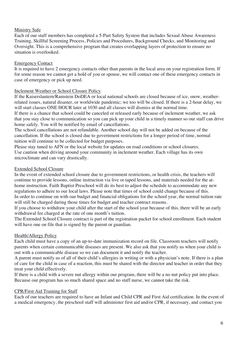### Ministry Safe

Each of our staff members has completed a 5-Part Safety System that includes Sexual Abuse Awareness Training, Skillful Screening Process, Policies and Procedures, Background Checks, and Monitoring and Oversight. This is a comprehensive program that creates overlapping layers of protection to ensure no situation is overlooked.

# Emergency Contact

It is required to have 2 emergency contacts other than parents in the local area on your registration form. If for some reason we cannot get a hold of you or spouse, we will contact one of these emergency contacts in case of emergency or pick up need.

#### Inclement Weather or School Closure Policy

If the Kaiserslautern/Ramstein DoDEA or local national schools are closed because of ice, snow, weatherrelated issues, natural disaster, or worldwide pandemic; we too will be closed. If there is a 2-hour delay, we will start classes ONE HOUR later at 1030 and all classes will dismiss at the normal time.

If there is a chance that school could be canceled or released early because of inclement weather, we ask that you stay close to communication so you can pick up your child in a timely manner so our staff can drive home safely. You will be notified by email of cancellations.

The school cancellations are not refundable. Another school day will not be added on because of the cancellation. If the school is closed due to government restrictions for a longer period of time, normal tuition will continue to be collected for budget purposes.

Please stay tuned to AFN or the local website for updates on road conditions or school closures. Use caution when driving around your community in inclement weather. Each village has its own microclimate and can vary drastically.

### Extended School Closure

In the event of extended school closure due to government restrictions, or health crisis, the teachers will continue to provide lessons, online instruction via live or taped lessons, and materials needed for the athome instruction. Faith Baptist Preschool will do its best to adjust the schedule to accommodate any new regulations to adhere to our local laws. Please note that times of school could change because of this. In order to continue on with our budget and financial obligations for the school year, the normal tuition rate will still be charged during those times for budget and teacher contract reasons.

If you choose to withdraw your child after the start of the school year because of this, there will be an early withdrawal fee charged at the rate of one month's tuition.

The Extended School Closure contract is part of the registration packet for school enrollment. Each student will have one on file that is signed by the parent or guardian.

# Health/Allergy Policy

Each child must have a copy of an up-to-date immunization record on file. Classroom teachers will notify parents when certain communicable diseases are present. We also ask that you notify us when your child is out with a communicable disease so we can document it and notify the teacher.

A parent must notify us of all of their child's allergies in writing or with a physician's note. If there is a plan of care for the child in case of a reaction, this must be shared with the director and teacher in order that they treat your child effectively.

If there is a child with a severe nut allergy within our program, there will be a no nut policy put into place. Because our program has so much shared space and no staff nurse, we cannot take the risk.

#### CPR/First Aid Training for Staff

Each of our teachers are required to have an Infant and Child CPR and First Aid certification. In the event of a medical emergency, the preschool staff will administer first aid and/or CPR, if necessary, and contact you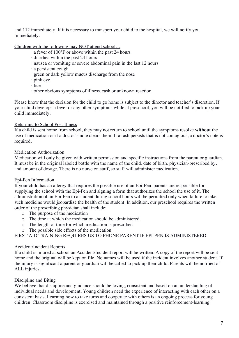and 112 immediately. If it is necessary to transport your child to the hospital, we will notify you immediately.

Children with the following may NOT attend school…

- · a fever of 100°F or above within the past 24 hours
- · diarrhea within the past 24 hours
- · nausea or vomiting or severe abdominal pain in the last 12 hours
- · a persistent cough
- · green or dark yellow mucus discharge from the nose
- · pink eye
- · lice
- · other obvious symptoms of illness, rash or unknown reaction

Please know that the decision for the child to go home is subject to the director and teacher's discretion. If your child develops a fever or any other symptoms while at preschool, you will be notified to pick up your child immediately.

# Returning to School Post-Illness

If a child is sent home from school, they may not return to school until the symptoms resolve **without** the use of medication or if a doctor's note clears them. If a rash persists that is not contagious, a doctor's note is required.

# Medication Authorization

Medication will only be given with written permission and specific instructions from the parent or guardian. It must be in the original labeled bottle with the name of the child, date of birth, physician-prescribed by, and amount of dosage. There is no nurse on staff, so staff will administer medication.

#### Epi-Pen Information

If your child has an allergy that requires the possible use of an Epi-Pen, parents are responsible for supplying the school with the Epi-Pen and signing a form that authorizes the school the use of it. The administration of an Epi-Pen to a student during school hours will be permitted only when failure to take such medicine would jeopardize the health of the student. In addition, our preschool requires the written order of the prescribing physician shall include:

- o The purpose of the medication
- o The time at which the medication should be administered
- o The length of time for which medication is prescribed
- o The possible side effects of the medication

FIRST AID TRAINING REQUIRES US TO PHONE PARENT IF EPI-PEN IS ADMINISTERED.

# Accident/Incident Reports

If a child is injured at school an Accident/Incident report will be written. A copy of the report will be sent home and the original will be kept on file. No names will be used if the incident involves another student. If the injury is significant a parent or guardian will be called to pick up their child. Parents will be notified of ALL injuries.

# Discipline and Biting

We believe that discipline and guidance should be loving, consistent and based on an understanding of individual needs and development. Young children need the experience of interacting with each other on a consistent basis. Learning how to take turns and cooperate with others is an ongoing process for young children. Classroom discipline is exercised and maintained through a positive reinforcement-learning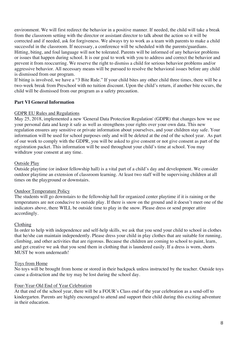environment. We will first redirect the behavior in a positive manner. If needed, the child will take a break from the classroom setting with the director or assistant director to talk about the action so it will be corrected and if needed, ask for forgiveness. We always try to work as a team with parents to make a child successful in the classroom. If necessary, a conference will be scheduled with the parents/guardians. Hitting, biting, and foul language will not be tolerated. Parents will be informed of any behavior problems or issues that happen during school. It is our goal to work with you to address and correct the behavior and prevent it from reoccurring. We reserve the right to dismiss a child for serious behavior problems and/or aggressive behavior. All necessary means will be pursued to resolve the behavioral issues before any child is dismissed from our program.

If biting is involved, we have a "3 Bite Rule." If your child bites any other child three times, there will be a two-week break from Preschool with no tuition discount. Upon the child's return, if another bite occurs, the child will be dismissed from our program as a safety precaution.

#### **Part VI General Information**

# GDPR EU Rules and Regulations

May 25, 2018, implemented a new 'General Data Protection Regulation' (GDPR) that changes how we use your personal data and keep it safe as well as strengthens your rights over your own data. This new regulation ensures any sensitive or private information about yourselves, and your children stay safe. Your information will be used for school purposes only and will be deleted at the end of the school year. As part of our work to comply with the GDPR, you will be asked to give consent or not give consent as part of the registration packet. This information will be used throughout your child's time at school. You may withdraw your consent at any time.

# Outside Play

Outside playtime (or indoor fellowship hall) is a vital part of a child's day and development. We consider outdoor playtime an extension of classroom learning. At least two staff will be supervising children at all times on the playground or downstairs.

# Outdoor Temperature Policy

The students will go downstairs to the fellowship hall for organized center playtime if it is raining or the temperatures are not conducive to outside play. If there is snow on the ground and it doesn't meet one of the indicators above, there WILL be outside time to play in the snow. Please dress or send proper attire accordingly.

#### Clothing

In order to help with independence and self-help skills, we ask that you send your child to school in clothes that he/she can maintain independently. Please dress your child in play clothes that are suitable for running, climbing, and other activities that are rigorous. Because the children are coming to school to paint, learn, and get creative we ask that you send them in clothing that is laundered easily. If a dress is worn, shorts MUST be worn underneath!

#### Toys from Home

No toys will be brought from home or stored in their backpack unless instructed by the teacher. Outside toys cause a distraction and the toy may be lost during the school day.

#### Four-Year-Old End of Year Celebration

At that end of the school year, there will be a FOUR's Class end of the year celebration as a send-off to kindergarten. Parents are highly encouraged to attend and support their child during this exciting adventure in their education.